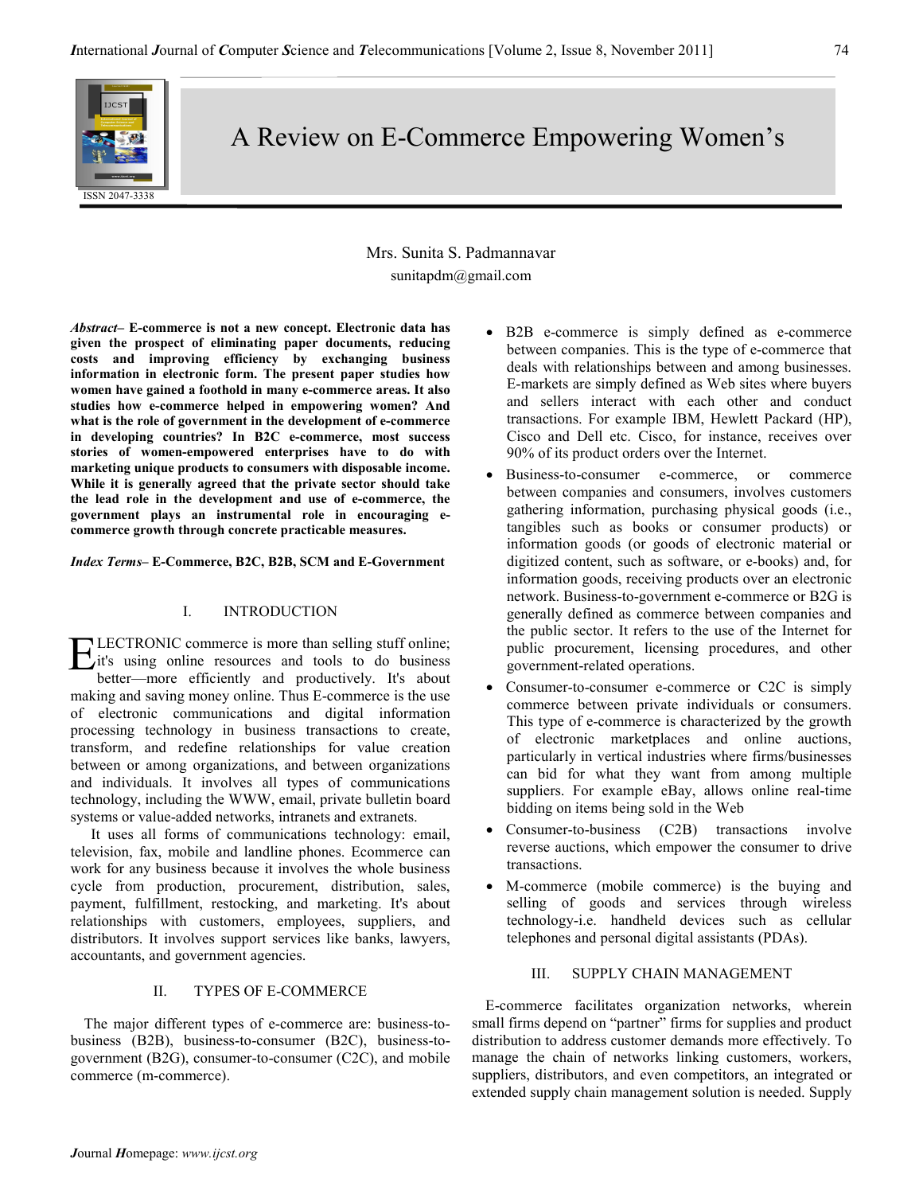

# A Review on E-Commerce Empowering Women's

# Mrs. Sunita S. Padmannavar sunitapdm@gmail.com

Abstract– E-commerce is not a new concept. Electronic data has given the prospect of eliminating paper documents, reducing costs and improving efficiency by exchanging business information in electronic form. The present paper studies how women have gained a foothold in many e-commerce areas. It also studies how e-commerce helped in empowering women? And what is the role of government in the development of e-commerce in developing countries? In B2C e-commerce, most success stories of women-empowered enterprises have to do with marketing unique products to consumers with disposable income. While it is generally agreed that the private sector should take the lead role in the development and use of e-commerce, the government plays an instrumental role in encouraging ecommerce growth through concrete practicable measures.

## Index Terms– E-Commerce, B2C, B2B, SCM and E-Government

# I. INTRODUCTION

LECTRONIC commerce is more than selling stuff online; it's using online resources and tools to do business better—more efficiently and productively. It's about making and saving money online. Thus E-commerce is the use of electronic communications and digital information processing technology in business transactions to create, transform, and redefine relationships for value creation between or among organizations, and between organizations and individuals. It involves all types of communications technology, including the WWW, email, private bulletin board systems or value-added networks, intranets and extranets. E

It uses all forms of communications technology: email, television, fax, mobile and landline phones. Ecommerce can work for any business because it involves the whole business cycle from production, procurement, distribution, sales, payment, fulfillment, restocking, and marketing. It's about relationships with customers, employees, suppliers, and distributors. It involves support services like banks, lawyers, accountants, and government agencies.

#### II. TYPES OF E-COMMERCE

The major different types of e-commerce are: business-tobusiness (B2B), business-to-consumer (B2C), business-togovernment (B2G), consumer-to-consumer (C2C), and mobile commerce (m-commerce).

- B2B e-commerce is simply defined as e-commerce between companies. This is the type of e-commerce that deals with relationships between and among businesses. E-markets are simply defined as Web sites where buyers and sellers interact with each other and conduct transactions. For example IBM, Hewlett Packard (HP), Cisco and Dell etc. Cisco, for instance, receives over 90% of its product orders over the Internet.
- Business-to-consumer e-commerce, or commerce between companies and consumers, involves customers gathering information, purchasing physical goods (i.e., tangibles such as books or consumer products) or information goods (or goods of electronic material or digitized content, such as software, or e-books) and, for information goods, receiving products over an electronic network. Business-to-government e-commerce or B2G is generally defined as commerce between companies and the public sector. It refers to the use of the Internet for public procurement, licensing procedures, and other government-related operations.
- Consumer-to-consumer e-commerce or C2C is simply commerce between private individuals or consumers. This type of e-commerce is characterized by the growth of electronic marketplaces and online auctions, particularly in vertical industries where firms/businesses can bid for what they want from among multiple suppliers. For example eBay, allows online real-time bidding on items being sold in the Web
- Consumer-to-business (C2B) transactions involve reverse auctions, which empower the consumer to drive transactions.
- M-commerce (mobile commerce) is the buying and selling of goods and services through wireless technology-i.e. handheld devices such as cellular telephones and personal digital assistants (PDAs).

#### III. SUPPLY CHAIN MANAGEMENT

E-commerce facilitates organization networks, wherein small firms depend on "partner" firms for supplies and product distribution to address customer demands more effectively. To manage the chain of networks linking customers, workers, suppliers, distributors, and even competitors, an integrated or extended supply chain management solution is needed. Supply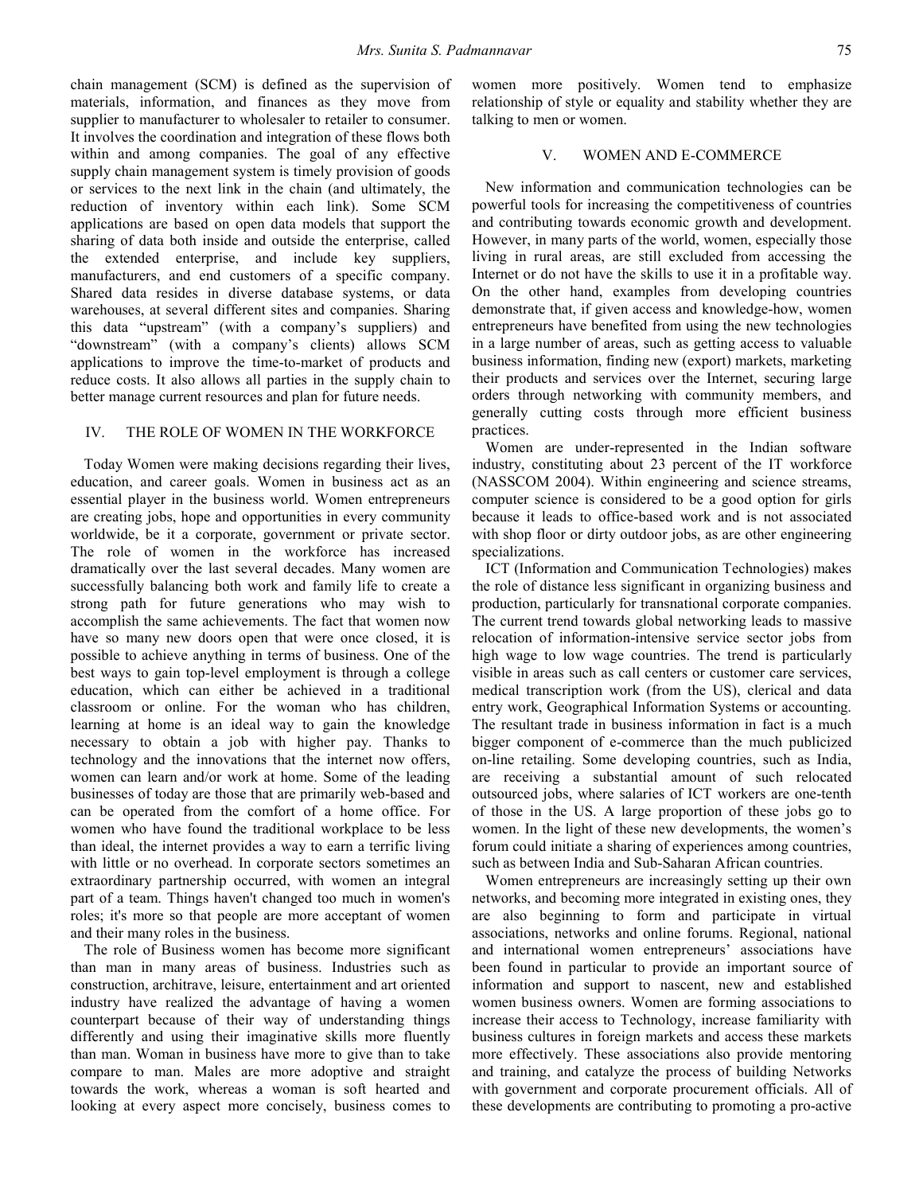chain management (SCM) is defined as the supervision of materials, information, and finances as they move from supplier to manufacturer to wholesaler to retailer to consumer. It involves the coordination and integration of these flows both within and among companies. The goal of any effective supply chain management system is timely provision of goods or services to the next link in the chain (and ultimately, the reduction of inventory within each link). Some SCM applications are based on open data models that support the sharing of data both inside and outside the enterprise, called the extended enterprise, and include key suppliers, manufacturers, and end customers of a specific company. Shared data resides in diverse database systems, or data warehouses, at several different sites and companies. Sharing this data "upstream" (with a company's suppliers) and "downstream" (with a company's clients) allows SCM applications to improve the time-to-market of products and reduce costs. It also allows all parties in the supply chain to better manage current resources and plan for future needs.

#### IV. THE ROLE OF WOMEN IN THE WORKFORCE

Today Women were making decisions regarding their lives, education, and career goals. Women in business act as an essential player in the business world. Women entrepreneurs are creating jobs, hope and opportunities in every community worldwide, be it a corporate, government or private sector. The role of women in the workforce has increased dramatically over the last several decades. Many women are successfully balancing both work and family life to create a strong path for future generations who may wish to accomplish the same achievements. The fact that women now have so many new doors open that were once closed, it is possible to achieve anything in terms of business. One of the best ways to gain top-level employment is through a college education, which can either be achieved in a traditional classroom or online. For the woman who has children, learning at home is an ideal way to gain the knowledge necessary to obtain a job with higher pay. Thanks to technology and the innovations that the internet now offers, women can learn and/or work at home. Some of the leading businesses of today are those that are primarily web-based and can be operated from the comfort of a home office. For women who have found the traditional workplace to be less than ideal, the internet provides a way to earn a terrific living with little or no overhead. In corporate sectors sometimes an extraordinary partnership occurred, with women an integral part of a team. Things haven't changed too much in women's roles; it's more so that people are more acceptant of women and their many roles in the business.

The role of Business women has become more significant than man in many areas of business. Industries such as construction, architrave, leisure, entertainment and art oriented industry have realized the advantage of having a women counterpart because of their way of understanding things differently and using their imaginative skills more fluently than man. Woman in business have more to give than to take compare to man. Males are more adoptive and straight towards the work, whereas a woman is soft hearted and looking at every aspect more concisely, business comes to

women more positively. Women tend to emphasize relationship of style or equality and stability whether they are talking to men or women.

#### V. WOMEN AND E-COMMERCE

New information and communication technologies can be powerful tools for increasing the competitiveness of countries and contributing towards economic growth and development. However, in many parts of the world, women, especially those living in rural areas, are still excluded from accessing the Internet or do not have the skills to use it in a profitable way. On the other hand, examples from developing countries demonstrate that, if given access and knowledge-how, women entrepreneurs have benefited from using the new technologies in a large number of areas, such as getting access to valuable business information, finding new (export) markets, marketing their products and services over the Internet, securing large orders through networking with community members, and generally cutting costs through more efficient business practices.

Women are under-represented in the Indian software industry, constituting about 23 percent of the IT workforce (NASSCOM 2004). Within engineering and science streams, computer science is considered to be a good option for girls because it leads to office-based work and is not associated with shop floor or dirty outdoor jobs, as are other engineering specializations.

ICT (Information and Communication Technologies) makes the role of distance less significant in organizing business and production, particularly for transnational corporate companies. The current trend towards global networking leads to massive relocation of information-intensive service sector jobs from high wage to low wage countries. The trend is particularly visible in areas such as call centers or customer care services, medical transcription work (from the US), clerical and data entry work, Geographical Information Systems or accounting. The resultant trade in business information in fact is a much bigger component of e-commerce than the much publicized on-line retailing. Some developing countries, such as India, are receiving a substantial amount of such relocated outsourced jobs, where salaries of ICT workers are one-tenth of those in the US. A large proportion of these jobs go to women. In the light of these new developments, the women's forum could initiate a sharing of experiences among countries, such as between India and Sub-Saharan African countries.

Women entrepreneurs are increasingly setting up their own networks, and becoming more integrated in existing ones, they are also beginning to form and participate in virtual associations, networks and online forums. Regional, national and international women entrepreneurs' associations have been found in particular to provide an important source of information and support to nascent, new and established women business owners. Women are forming associations to increase their access to Technology, increase familiarity with business cultures in foreign markets and access these markets more effectively. These associations also provide mentoring and training, and catalyze the process of building Networks with government and corporate procurement officials. All of these developments are contributing to promoting a pro-active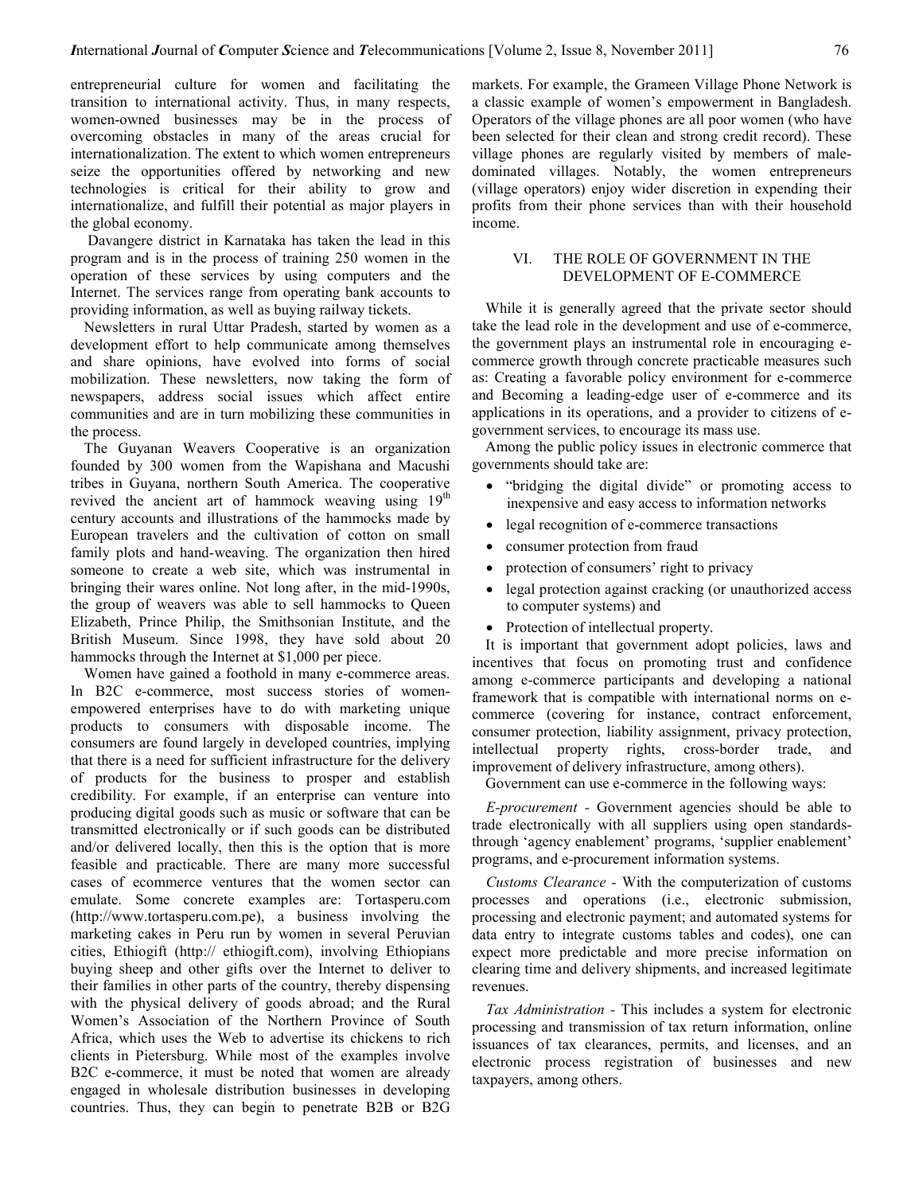entrepreneurial culture for women and facilitating the transition to international activity. Thus, in many respects, women-owned businesses may be in the process of overcoming obstacles in many of the areas crucial for internationalization. The extent to which women entrepreneurs seize the opportunities offered by networking and new technologies is critical for their ability to grow and internationalize, and fulfill their potential as major players in the global economy.

 Davangere district in Karnataka has taken the lead in this program and is in the process of training 250 women in the operation of these services by using computers and the Internet. The services range from operating bank accounts to providing information, as well as buying railway tickets.

Newsletters in rural Uttar Pradesh, started by women as a development effort to help communicate among themselves and share opinions, have evolved into forms of social mobilization. These newsletters, now taking the form of newspapers, address social issues which affect entire communities and are in turn mobilizing these communities in the process.

The Guyanan Weavers Cooperative is an organization founded by 300 women from the Wapishana and Macushi tribes in Guyana, northern South America. The cooperative revived the ancient art of hammock weaving using  $19<sup>th</sup>$ century accounts and illustrations of the hammocks made by European travelers and the cultivation of cotton on small family plots and hand-weaving. The organization then hired someone to create a web site, which was instrumental in bringing their wares online. Not long after, in the mid-1990s, the group of weavers was able to sell hammocks to Queen Elizabeth, Prince Philip, the Smithsonian Institute, and the British Museum. Since 1998, they have sold about 20 hammocks through the Internet at \$1,000 per piece.

Women have gained a foothold in many e-commerce areas. In B2C e-commerce, most success stories of womenempowered enterprises have to do with marketing unique products to consumers with disposable income. The consumers are found largely in developed countries, implying that there is a need for sufficient infrastructure for the delivery of products for the business to prosper and establish credibility. For example, if an enterprise can venture into producing digital goods such as music or software that can be transmitted electronically or if such goods can be distributed and/or delivered locally, then this is the option that is more feasible and practicable. There are many more successful cases of ecommerce ventures that the women sector can emulate. Some concrete examples are: Tortasperu.com (http://www.tortasperu.com.pe), a business involving the marketing cakes in Peru run by women in several Peruvian cities, Ethiogift (http:// ethiogift.com), involving Ethiopians buying sheep and other gifts over the Internet to deliver to their families in other parts of the country, thereby dispensing with the physical delivery of goods abroad; and the Rural Women's Association of the Northern Province of South Africa, which uses the Web to advertise its chickens to rich clients in Pietersburg. While most of the examples involve B2C e-commerce, it must be noted that women are already engaged in wholesale distribution businesses in developing countries. Thus, they can begin to penetrate B2B or B2G markets. For example, the Grameen Village Phone Network is a classic example of women's empowerment in Bangladesh. Operators of the village phones are all poor women (who have been selected for their clean and strong credit record). These village phones are regularly visited by members of maledominated villages. Notably, the women entrepreneurs (village operators) enjoy wider discretion in expending their profits from their phone services than with their household income.

# VI. THE ROLE OF GOVERNMENT IN THE DEVELOPMENT OF E-COMMERCE

While it is generally agreed that the private sector should take the lead role in the development and use of e-commerce, the government plays an instrumental role in encouraging ecommerce growth through concrete practicable measures such as: Creating a favorable policy environment for e-commerce and Becoming a leading-edge user of e-commerce and its applications in its operations, and a provider to citizens of egovernment services, to encourage its mass use.

Among the public policy issues in electronic commerce that governments should take are:

- "bridging the digital divide" or promoting access to inexpensive and easy access to information networks
- legal recognition of e-commerce transactions
- consumer protection from fraud
- protection of consumers' right to privacy
- legal protection against cracking (or unauthorized access to computer systems) and
- Protection of intellectual property.

It is important that government adopt policies, laws and incentives that focus on promoting trust and confidence among e-commerce participants and developing a national framework that is compatible with international norms on ecommerce (covering for instance, contract enforcement, consumer protection, liability assignment, privacy protection, intellectual property rights, cross-border trade, and improvement of delivery infrastructure, among others).

Government can use e-commerce in the following ways:

E-procurement - Government agencies should be able to trade electronically with all suppliers using open standardsthrough 'agency enablement' programs, 'supplier enablement' programs, and e-procurement information systems.

Customs Clearance - With the computerization of customs processes and operations (i.e., electronic submission, processing and electronic payment; and automated systems for data entry to integrate customs tables and codes), one can expect more predictable and more precise information on clearing time and delivery shipments, and increased legitimate revenues.

Tax Administration - This includes a system for electronic processing and transmission of tax return information, online issuances of tax clearances, permits, and licenses, and an electronic process registration of businesses and new taxpayers, among others.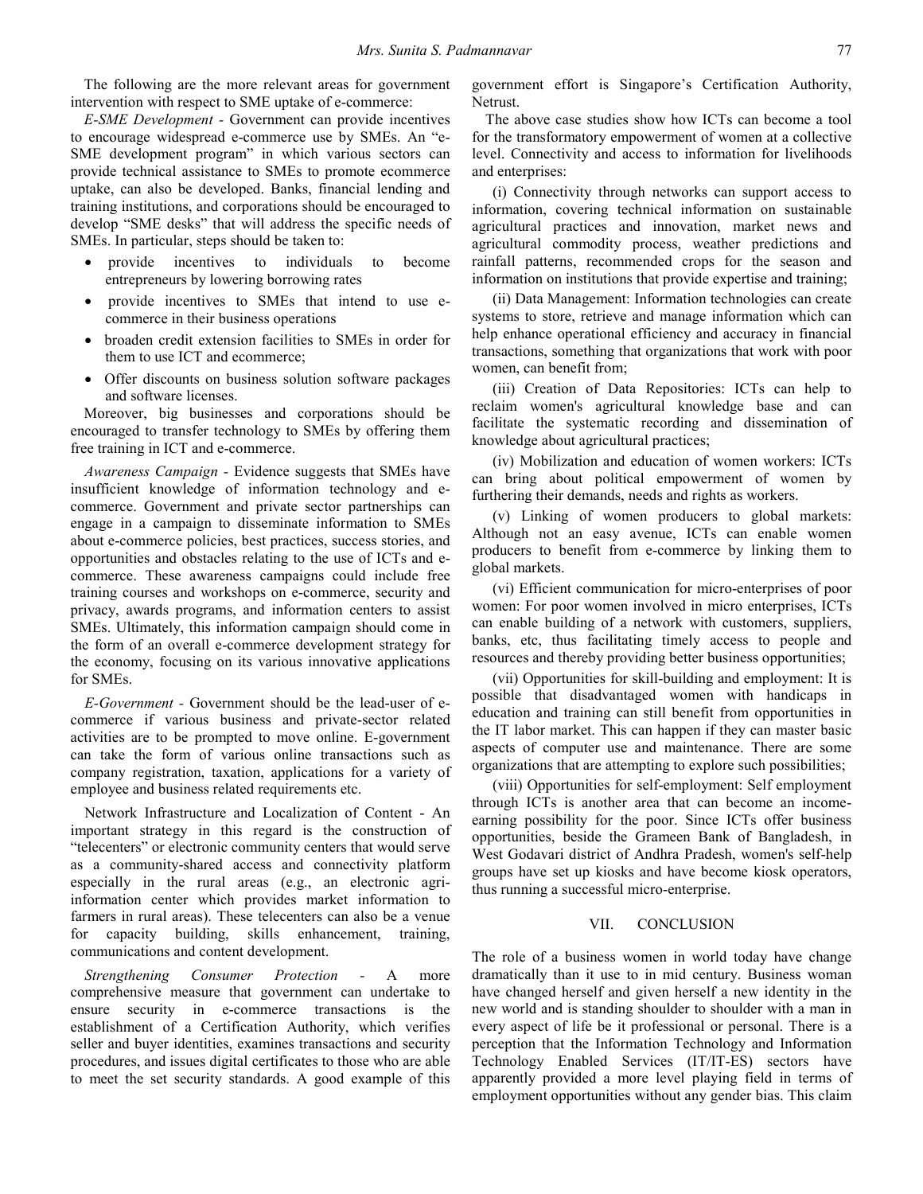The following are the more relevant areas for government intervention with respect to SME uptake of e-commerce:

E-SME Development - Government can provide incentives to encourage widespread e-commerce use by SMEs. An "e-SME development program" in which various sectors can provide technical assistance to SMEs to promote ecommerce uptake, can also be developed. Banks, financial lending and training institutions, and corporations should be encouraged to develop "SME desks" that will address the specific needs of SMEs. In particular, steps should be taken to:

- provide incentives to individuals to become entrepreneurs by lowering borrowing rates
- provide incentives to SMEs that intend to use ecommerce in their business operations
- broaden credit extension facilities to SMEs in order for them to use ICT and ecommerce;
- Offer discounts on business solution software packages and software licenses.

Moreover, big businesses and corporations should be encouraged to transfer technology to SMEs by offering them free training in ICT and e-commerce.

Awareness Campaign - Evidence suggests that SMEs have insufficient knowledge of information technology and ecommerce. Government and private sector partnerships can engage in a campaign to disseminate information to SMEs about e-commerce policies, best practices, success stories, and opportunities and obstacles relating to the use of ICTs and ecommerce. These awareness campaigns could include free training courses and workshops on e-commerce, security and privacy, awards programs, and information centers to assist SMEs. Ultimately, this information campaign should come in the form of an overall e-commerce development strategy for the economy, focusing on its various innovative applications for SMEs.

E-Government - Government should be the lead-user of ecommerce if various business and private-sector related activities are to be prompted to move online. E-government can take the form of various online transactions such as company registration, taxation, applications for a variety of employee and business related requirements etc.

Network Infrastructure and Localization of Content - An important strategy in this regard is the construction of "telecenters" or electronic community centers that would serve as a community-shared access and connectivity platform especially in the rural areas (e.g., an electronic agriinformation center which provides market information to farmers in rural areas). These telecenters can also be a venue for capacity building, skills enhancement, training, communications and content development.

Strengthening Consumer Protection - A more comprehensive measure that government can undertake to ensure security in e-commerce transactions is the establishment of a Certification Authority, which verifies seller and buyer identities, examines transactions and security procedures, and issues digital certificates to those who are able to meet the set security standards. A good example of this government effort is Singapore's Certification Authority, Netrust.

The above case studies show how ICTs can become a tool for the transformatory empowerment of women at a collective level. Connectivity and access to information for livelihoods and enterprises:

(i) Connectivity through networks can support access to information, covering technical information on sustainable agricultural practices and innovation, market news and agricultural commodity process, weather predictions and rainfall patterns, recommended crops for the season and information on institutions that provide expertise and training;

(ii) Data Management: Information technologies can create systems to store, retrieve and manage information which can help enhance operational efficiency and accuracy in financial transactions, something that organizations that work with poor women, can benefit from;

(iii) Creation of Data Repositories: ICTs can help to reclaim women's agricultural knowledge base and can facilitate the systematic recording and dissemination of knowledge about agricultural practices;

(iv) Mobilization and education of women workers: ICTs can bring about political empowerment of women by furthering their demands, needs and rights as workers.

(v) Linking of women producers to global markets: Although not an easy avenue, ICTs can enable women producers to benefit from e-commerce by linking them to global markets.

(vi) Efficient communication for micro-enterprises of poor women: For poor women involved in micro enterprises, ICTs can enable building of a network with customers, suppliers, banks, etc, thus facilitating timely access to people and resources and thereby providing better business opportunities;

(vii) Opportunities for skill-building and employment: It is possible that disadvantaged women with handicaps in education and training can still benefit from opportunities in the IT labor market. This can happen if they can master basic aspects of computer use and maintenance. There are some organizations that are attempting to explore such possibilities;

(viii) Opportunities for self-employment: Self employment through ICTs is another area that can become an incomeearning possibility for the poor. Since ICTs offer business opportunities, beside the Grameen Bank of Bangladesh, in West Godavari district of Andhra Pradesh, women's self-help groups have set up kiosks and have become kiosk operators, thus running a successful micro-enterprise.

#### VII. CONCLUSION

The role of a business women in world today have change dramatically than it use to in mid century. Business woman have changed herself and given herself a new identity in the new world and is standing shoulder to shoulder with a man in every aspect of life be it professional or personal. There is a perception that the Information Technology and Information Technology Enabled Services (IT/IT-ES) sectors have apparently provided a more level playing field in terms of employment opportunities without any gender bias. This claim